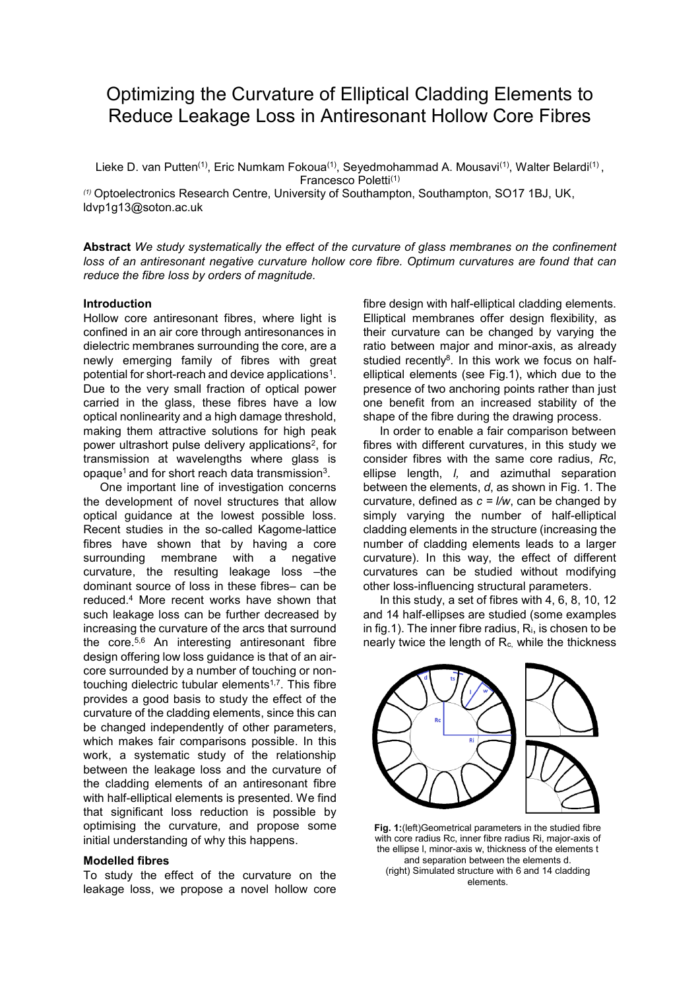# Optimizing the Curvature of Elliptical Cladding Elements to Reduce Leakage Loss in Antiresonant Hollow Core Fibres

Lieke D. van Putten<sup>(1)</sup>, Eric Numkam Fokoua<sup>(1)</sup>, Seyedmohammad A. Mousavi<sup>(1)</sup>, Walter Belardi<sup>(1)</sup>, Francesco Poletti(1)

*(1)* Optoelectronics Research Centre, University of Southampton, Southampton, SO17 1BJ, UK, ldvp1g13@soton.ac.uk

**Abstract** *We study systematically the effect of the curvature of glass membranes on the confinement loss of an antiresonant negative curvature hollow core fibre. Optimum curvatures are found that can reduce the fibre loss by orders of magnitude.* 

## **Introduction**

Hollow core antiresonant fibres, where light is confined in an air core through antiresonances in dielectric membranes surrounding the core, are a newly emerging family of fibres with great potential for short-reach and device applications<sup>1</sup>. Due to the very small fraction of optical power carried in the glass, these fibres have a low optical nonlinearity and a high damage threshold, making them attractive solutions for high peak power ultrashort pulse delivery applications<sup>2</sup>, for transmission at wavelengths where glass is opaque $^{\rm 1}$  and for short reach data transmission $^{\rm 3}.$ 

One important line of investigation concerns the development of novel structures that allow optical guidance at the lowest possible loss. Recent studies in the so-called Kagome-lattice fibres have shown that by having a core surrounding membrane with a negative curvature, the resulting leakage loss –the dominant source of loss in these fibres– can be reduced.<sup>4</sup> More recent works have shown that such leakage loss can be further decreased by increasing the curvature of the arcs that surround the core. 5,6 An interesting antiresonant fibre design offering low loss guidance is that of an aircore surrounded by a number of touching or nontouching dielectric tubular elements<sup>1,7</sup>. This fibre provides a good basis to study the effect of the curvature of the cladding elements, since this can be changed independently of other parameters, which makes fair comparisons possible. In this work, a systematic study of the relationship between the leakage loss and the curvature of the cladding elements of an antiresonant fibre with half-elliptical elements is presented. We find that significant loss reduction is possible by optimising the curvature, and propose some initial understanding of why this happens.

### **Modelled fibres**

To study the effect of the curvature on the leakage loss, we propose a novel hollow core fibre design with half-elliptical cladding elements. Elliptical membranes offer design flexibility, as their curvature can be changed by varying the ratio between major and minor-axis, as already studied recently<sup>8</sup>. In this work we focus on halfelliptical elements (see Fig.1), which due to the presence of two anchoring points rather than just one benefit from an increased stability of the shape of the fibre during the drawing process.

In order to enable a fair comparison between fibres with different curvatures, in this study we consider fibres with the same core radius, *Rc*, ellipse length, *l,* and azimuthal separation between the elements, *d*, as shown in Fig. 1. The curvature, defined as  $c = l/w$ , can be changed by simply varying the number of half-elliptical cladding elements in the structure (increasing the number of cladding elements leads to a larger curvature). In this way, the effect of different curvatures can be studied without modifying other loss-influencing structural parameters.

In this study, a set of fibres with 4, 6, 8, 10, 12 and 14 half-ellipses are studied (some examples in fig.1). The inner fibre radius,  $R_i$ , is chosen to be nearly twice the length of  $R_c$ , while the thickness



**Fig. 1:**(left)Geometrical parameters in the studied fibre with core radius Rc, inner fibre radius Ri, major-axis of the ellipse l, minor-axis w, thickness of the elements t and separation between the elements d. (right) Simulated structure with 6 and 14 cladding elements.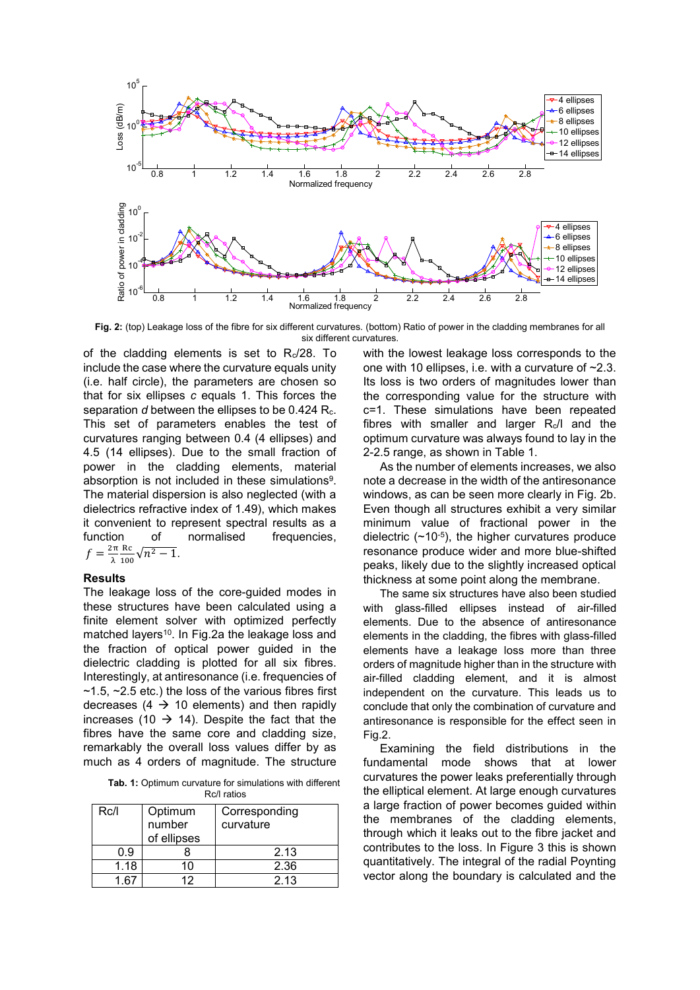

**Fig. 2:** (top) Leakage loss of the fibre for six different curvatures. (bottom) Ratio of power in the cladding membranes for all six different curvatures.

of the cladding elements is set to Rc/28. To include the case where the curvature equals unity (i.e. half circle), the parameters are chosen so that for six ellipses *c* equals 1. This forces the separation *d* between the ellipses to be 0.424 R<sub>c</sub>. This set of parameters enables the test of curvatures ranging between 0.4 (4 ellipses) and 4.5 (14 ellipses). Due to the small fraction of power in the cladding elements, material absorption is not included in these simulations<sup>9</sup>. The material dispersion is also neglected (with a dielectrics refractive index of 1.49), which makes it convenient to represent spectral results as a function of normalised frequencies,  $f=\frac{2\pi}{\lambda}$ λ Rc  $\frac{R}{100}$   $\sqrt{n^2-1}$ .

#### **Results**

The leakage loss of the core-guided modes in these structures have been calculated using a finite element solver with optimized perfectly matched layers<sup>10</sup>. In Fig.2a the leakage loss and the fraction of optical power guided in the dielectric cladding is plotted for all six fibres. Interestingly, at antiresonance (i.e. frequencies of  $\sim$ 1.5,  $\sim$ 2.5 etc.) the loss of the various fibres first decreases (4  $\rightarrow$  10 elements) and then rapidly increases (10  $\rightarrow$  14). Despite the fact that the fibres have the same core and cladding size, remarkably the overall loss values differ by as much as 4 orders of magnitude. The structure

**Tab. 1:** Optimum curvature for simulations with different Rc/l ratios

| Rc/l | Optimum<br>number<br>of ellipses | Corresponding<br>curvature |
|------|----------------------------------|----------------------------|
| 0.9  |                                  | 2.13                       |
| 1.18 |                                  | 2.36                       |
|      | 12                               | 2.13                       |

with the lowest leakage loss corresponds to the one with 10 ellipses, i.e. with a curvature of  $\sim 2.3$ . Its loss is two orders of magnitudes lower than the corresponding value for the structure with c=1. These simulations have been repeated fibres with smaller and larger  $R_c/l$  and the optimum curvature was always found to lay in the 2-2.5 range, as shown in Table 1.

As the number of elements increases, we also note a decrease in the width of the antiresonance windows, as can be seen more clearly in Fig. 2b. Even though all structures exhibit a very similar minimum value of fractional power in the dielectric  $(\sim 10^{-5})$ , the higher curvatures produce resonance produce wider and more blue-shifted peaks, likely due to the slightly increased optical thickness at some point along the membrane.

The same six structures have also been studied with glass-filled ellipses instead of air-filled elements. Due to the absence of antiresonance elements in the cladding, the fibres with glass-filled elements have a leakage loss more than three orders of magnitude higher than in the structure with air-filled cladding element, and it is almost independent on the curvature. This leads us to conclude that only the combination of curvature and antiresonance is responsible for the effect seen in Fig.2.

Examining the field distributions in the fundamental mode shows that at lower curvatures the power leaks preferentially through the elliptical element. At large enough curvatures a large fraction of power becomes guided within the membranes of the cladding elements, through which it leaks out to the fibre jacket and contributes to the loss. In Figure 3 this is shown quantitatively. The integral of the radial Poynting vector along the boundary is calculated and the